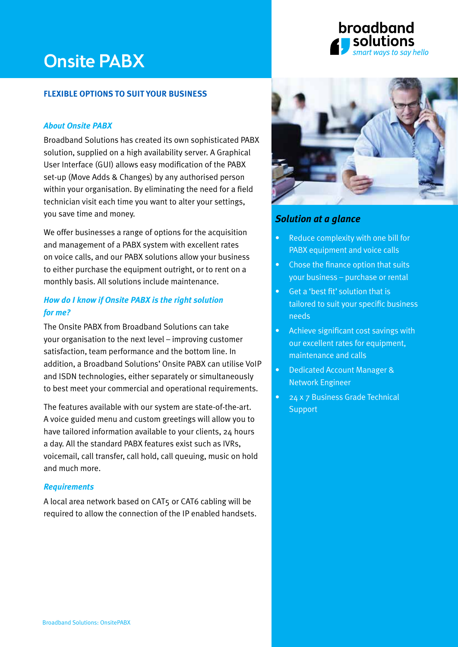# Onsite PABX

#### **flexible options to suit your business**

#### *About Onsite PABX*

Broadband Solutions has created its own sophisticated PABX solution, supplied on a high availability server. A Graphical User Interface (GUI) allows easy modification of the PABX set-up (Move Adds & Changes) by any authorised person within your organisation. By eliminating the need for a field technician visit each time you want to alter your settings, you save time and money.

We offer businesses a range of options for the acquisition and management of a PABX system with excellent rates on voice calls, and our PABX solutions allow your business to either purchase the equipment outright, or to rent on a monthly basis. All solutions include maintenance.

### *How do I know if Onsite PABX is the right solution for me?*

The Onsite PABX from Broadband Solutions can take your organisation to the next level – improving customer satisfaction, team performance and the bottom line. In addition, a Broadband Solutions' Onsite PABX can utilise VoIP and ISDN technologies, either separately or simultaneously to best meet your commercial and operational requirements.

The features available with our system are state-of-the-art. A voice guided menu and custom greetings will allow you to have tailored information available to your clients, 24 hours a day. All the standard PABX features exist such as IVRs, voicemail, call transfer, call hold, call queuing, music on hold and much more.

#### *Requirements*

A local area network based on CAT5 or CAT6 cabling will be required to allow the connection of the IP enabled handsets.



broadband

ways to say hello

## *Solution at a glance*

- Reduce complexity with one bill for PABX equipment and voice calls
- Chose the finance option that suits your business – purchase or rental
- Get a 'best fit' solution that is tailored to suit your specific business needs
- Achieve significant cost savings with our excellent rates for equipment, maintenance and calls
- Dedicated Account Manager & Network Engineer
- 24 x 7 Business Grade Technical **Support**